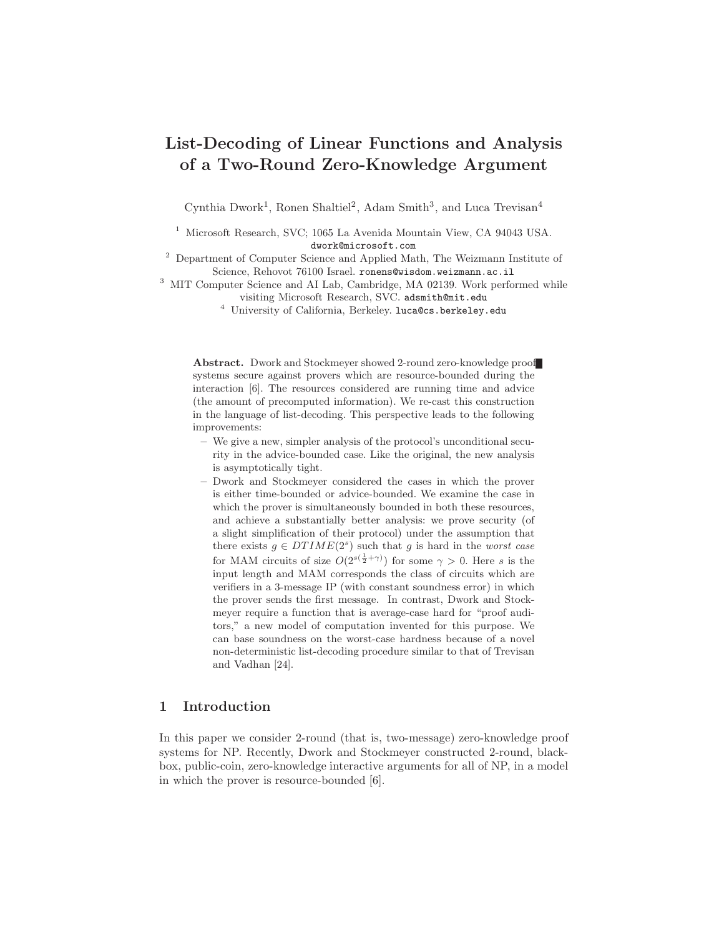# List-Decoding of Linear Functions and Analysis of a Two-Round Zero-Knowledge Argument

Cynthia Dwork<sup>1</sup>, Ronen Shaltiel<sup>2</sup>, Adam Smith<sup>3</sup>, and Luca Trevisan<sup>4</sup>

<sup>1</sup> Microsoft Research, SVC; 1065 La Avenida Mountain View, CA 94043 USA. dwork@microsoft.com

<sup>2</sup> Department of Computer Science and Applied Math, The Weizmann Institute of Science, Rehovot 76100 Israel. ronens@wisdom.weizmann.ac.il

<sup>3</sup> MIT Computer Science and AI Lab, Cambridge, MA 02139. Work performed while visiting Microsoft Research, SVC. adsmith@mit.edu

<sup>4</sup> University of California, Berkeley. luca@cs.berkeley.edu

Abstract. Dwork and Stockmeyer showed 2-round zero-knowledge proof systems secure against provers which are resource-bounded during the interaction [6]. The resources considered are running time and advice (the amount of precomputed information). We re-cast this construction in the language of list-decoding. This perspective leads to the following improvements:

- We give a new, simpler analysis of the protocol's unconditional security in the advice-bounded case. Like the original, the new analysis is asymptotically tight.
- Dwork and Stockmeyer considered the cases in which the prover is either time-bounded or advice-bounded. We examine the case in which the prover is simultaneously bounded in both these resources, and achieve a substantially better analysis: we prove security (of a slight simplification of their protocol) under the assumption that there exists  $g \in DTIME(2^s)$  such that g is hard in the worst case for MAM circuits of size  $O(2^{s(\frac{1}{2}+\gamma)})$  for some  $\gamma > 0$ . Here s is the input length and MAM corresponds the class of circuits which are verifiers in a 3-message IP (with constant soundness error) in which the prover sends the first message. In contrast, Dwork and Stockmeyer require a function that is average-case hard for "proof auditors," a new model of computation invented for this purpose. We can base soundness on the worst-case hardness because of a novel non-deterministic list-decoding procedure similar to that of Trevisan and Vadhan [24].

# 1 Introduction

In this paper we consider 2-round (that is, two-message) zero-knowledge proof systems for NP. Recently, Dwork and Stockmeyer constructed 2-round, blackbox, public-coin, zero-knowledge interactive arguments for all of NP, in a model in which the prover is resource-bounded [6].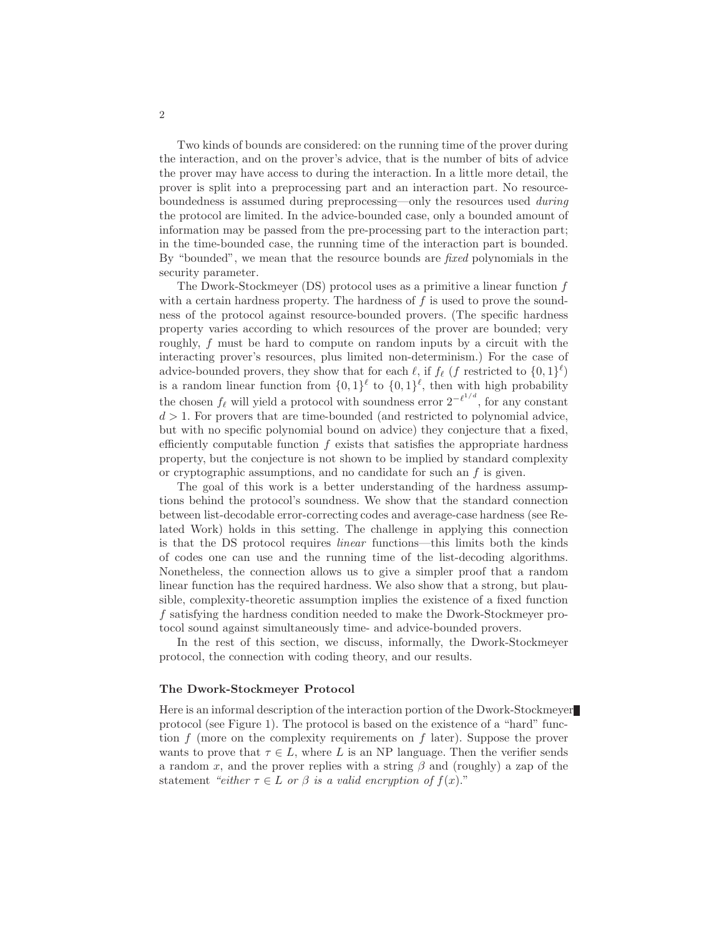Two kinds of bounds are considered: on the running time of the prover during the interaction, and on the prover's advice, that is the number of bits of advice the prover may have access to during the interaction. In a little more detail, the prover is split into a preprocessing part and an interaction part. No resourceboundedness is assumed during preprocessing—only the resources used during the protocol are limited. In the advice-bounded case, only a bounded amount of information may be passed from the pre-processing part to the interaction part; in the time-bounded case, the running time of the interaction part is bounded. By "bounded", we mean that the resource bounds are *fixed* polynomials in the security parameter.

The Dwork-Stockmeyer (DS) protocol uses as a primitive a linear function f with a certain hardness property. The hardness of  $f$  is used to prove the soundness of the protocol against resource-bounded provers. (The specific hardness property varies according to which resources of the prover are bounded; very roughly, f must be hard to compute on random inputs by a circuit with the interacting prover's resources, plus limited non-determinism.) For the case of advice-bounded provers, they show that for each  $\ell$ , if  $f_{\ell}$  (f restricted to  $\{0,1\}^{\ell}$ ) is a random linear function from  $\{0,1\}^{\ell}$  to  $\{0,1\}^{\ell}$ , then with high probability the chosen  $f_{\ell}$  will yield a protocol with soundness error  $2^{-\ell^{1/d}}$ , for any constant  $d > 1$ . For provers that are time-bounded (and restricted to polynomial advice, but with no specific polynomial bound on advice) they conjecture that a fixed, efficiently computable function  $f$  exists that satisfies the appropriate hardness property, but the conjecture is not shown to be implied by standard complexity or cryptographic assumptions, and no candidate for such an  $f$  is given.

The goal of this work is a better understanding of the hardness assumptions behind the protocol's soundness. We show that the standard connection between list-decodable error-correcting codes and average-case hardness (see Related Work) holds in this setting. The challenge in applying this connection is that the DS protocol requires linear functions—this limits both the kinds of codes one can use and the running time of the list-decoding algorithms. Nonetheless, the connection allows us to give a simpler proof that a random linear function has the required hardness. We also show that a strong, but plausible, complexity-theoretic assumption implies the existence of a fixed function f satisfying the hardness condition needed to make the Dwork-Stockmeyer protocol sound against simultaneously time- and advice-bounded provers.

In the rest of this section, we discuss, informally, the Dwork-Stockmeyer protocol, the connection with coding theory, and our results.

#### The Dwork-Stockmeyer Protocol

Here is an informal description of the interaction portion of the Dwork-Stockmeyer protocol (see Figure 1). The protocol is based on the existence of a "hard" function  $f$  (more on the complexity requirements on  $f$  later). Suppose the prover wants to prove that  $\tau \in L$ , where L is an NP language. Then the verifier sends a random x, and the prover replies with a string  $\beta$  and (roughly) a zap of the statement "either  $\tau \in L$  or  $\beta$  is a valid encryption of  $f(x)$ ."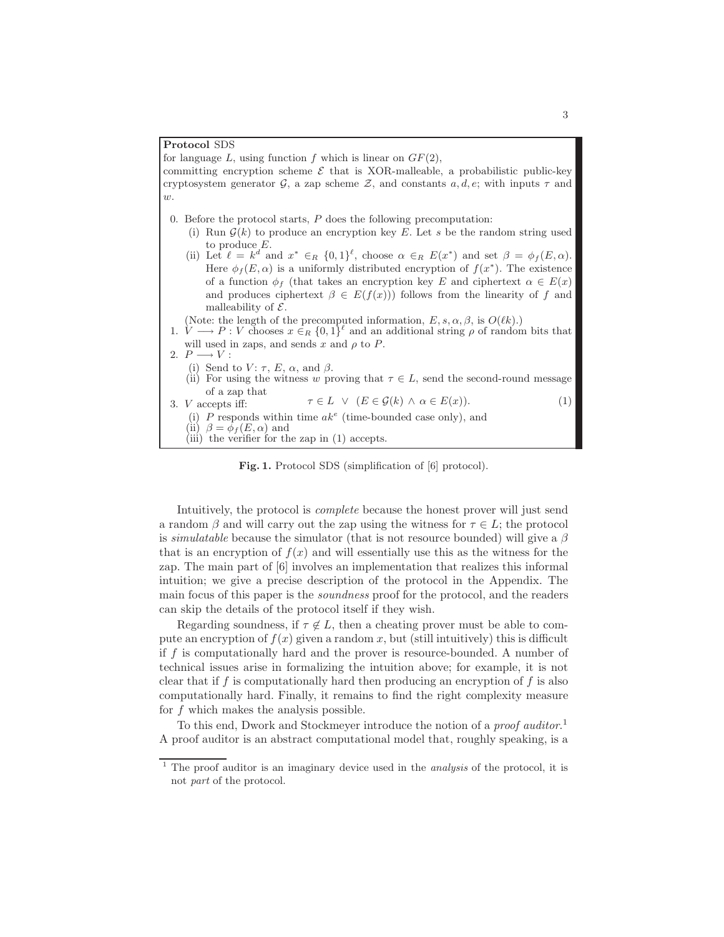for language L, using function f which is linear on  $GF(2)$ ,

committing encryption scheme  $\mathcal E$  that is XOR-malleable, a probabilistic public-key cryptosystem generator G, a zap scheme Z, and constants  $a, d, e$ ; with inputs  $\tau$  and w.

- 0. Before the protocol starts,  $P$  does the following precomputation:
	- (i) Run  $\mathcal{G}(k)$  to produce an encryption key E. Let s be the random string used to produce  $E$ .
	- (ii) Let  $\ell = k^d$  and  $x^* \in_R \{0,1\}^{\ell}$ , choose  $\alpha \in_R E(x^*)$  and set  $\beta = \phi_f(E,\alpha)$ . Here  $\phi_f(E,\alpha)$  is a uniformly distributed encryption of  $f(x^*)$ . The existence of a function  $\phi_f$  (that takes an encryption key E and ciphertext  $\alpha \in E(x)$ ) and produces ciphertext  $\beta \in E(f(x))$  follows from the linearity of f and malleability of  $\mathcal{E}.$
- (Note: the length of the precomputed information,  $E$ ,  $s$ ,  $\alpha$ ,  $\beta$ , is  $O(\ell k)$ .)
- 1.  $V \longrightarrow P : V$  chooses  $x \in_R \{0,1\}^{\ell}$  and an additional string  $\rho$  of random bits that will used in zaps, and sends x and  $\rho$  to P.

# 2.  $P \longrightarrow V$ :

- (i) Send to  $V: \tau$ , E,  $\alpha$ , and  $\beta$ .
- (ii) For using the witness w proving that  $\tau \in L$ , send the second-round message of a zap that
- 3. V accepts iff:  $\tau \in L \quad \lor \quad (E \in \mathcal{G}(k) \land \alpha \in E(x)).$  (1)
	- (i) P responds within time  $ak^e$  (time-bounded case only), and (ii)  $\beta = \dot{\phi}_f(E, \alpha)$  and (iii) the verifier for the zap in (1) accepts.
		-

Fig. 1. Protocol SDS (simplification of [6] protocol).

Intuitively, the protocol is complete because the honest prover will just send a random  $\beta$  and will carry out the zap using the witness for  $\tau \in L$ ; the protocol is simulatable because the simulator (that is not resource bounded) will give a  $\beta$ that is an encryption of  $f(x)$  and will essentially use this as the witness for the zap. The main part of [6] involves an implementation that realizes this informal intuition; we give a precise description of the protocol in the Appendix. The main focus of this paper is the soundness proof for the protocol, and the readers can skip the details of the protocol itself if they wish.

Regarding soundness, if  $\tau \notin L$ , then a cheating prover must be able to compute an encryption of  $f(x)$  given a random x, but (still intuitively) this is difficult if f is computationally hard and the prover is resource-bounded. A number of technical issues arise in formalizing the intuition above; for example, it is not clear that if f is computationally hard then producing an encryption of f is also computationally hard. Finally, it remains to find the right complexity measure for  $f$  which makes the analysis possible.

To this end, Dwork and Stockmeyer introduce the notion of a *proof auditor*.<sup>1</sup> A proof auditor is an abstract computational model that, roughly speaking, is a

 $1$  The proof auditor is an imaginary device used in the *analysis* of the protocol, it is not part of the protocol.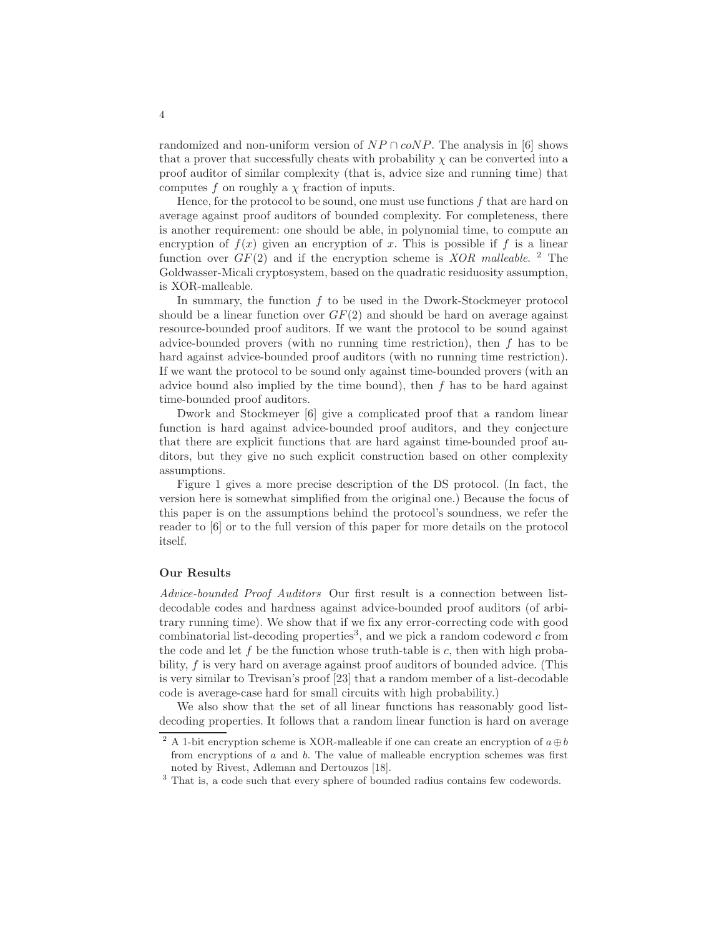randomized and non-uniform version of  $NP \cap coNP$ . The analysis in [6] shows that a prover that successfully cheats with probability  $\chi$  can be converted into a proof auditor of similar complexity (that is, advice size and running time) that computes  $f$  on roughly a  $\chi$  fraction of inputs.

Hence, for the protocol to be sound, one must use functions  $f$  that are hard on average against proof auditors of bounded complexity. For completeness, there is another requirement: one should be able, in polynomial time, to compute an encryption of  $f(x)$  given an encryption of x. This is possible if f is a linear function over  $GF(2)$  and if the encryption scheme is  $XOR$  malleable. <sup>2</sup> The Goldwasser-Micali cryptosystem, based on the quadratic residuosity assumption, is XOR-malleable.

In summary, the function f to be used in the Dwork-Stockmeyer protocol should be a linear function over  $GF(2)$  and should be hard on average against resource-bounded proof auditors. If we want the protocol to be sound against advice-bounded provers (with no running time restriction), then  $f$  has to be hard against advice-bounded proof auditors (with no running time restriction). If we want the protocol to be sound only against time-bounded provers (with an advice bound also implied by the time bound), then  $f$  has to be hard against time-bounded proof auditors.

Dwork and Stockmeyer [6] give a complicated proof that a random linear function is hard against advice-bounded proof auditors, and they conjecture that there are explicit functions that are hard against time-bounded proof auditors, but they give no such explicit construction based on other complexity assumptions.

Figure 1 gives a more precise description of the DS protocol. (In fact, the version here is somewhat simplified from the original one.) Because the focus of this paper is on the assumptions behind the protocol's soundness, we refer the reader to [6] or to the full version of this paper for more details on the protocol itself.

## Our Results

Advice-bounded Proof Auditors Our first result is a connection between listdecodable codes and hardness against advice-bounded proof auditors (of arbitrary running time). We show that if we fix any error-correcting code with good combinatorial list-decoding properties<sup>3</sup>, and we pick a random codeword  $c$  from the code and let  $f$  be the function whose truth-table is  $c$ , then with high probability, f is very hard on average against proof auditors of bounded advice. (This is very similar to Trevisan's proof [23] that a random member of a list-decodable code is average-case hard for small circuits with high probability.)

We also show that the set of all linear functions has reasonably good listdecoding properties. It follows that a random linear function is hard on average

<sup>&</sup>lt;sup>2</sup> A 1-bit encryption scheme is XOR-malleable if one can create an encryption of  $a \oplus b$ from encryptions of  $a$  and  $b$ . The value of malleable encryption schemes was first noted by Rivest, Adleman and Dertouzos [18].

<sup>&</sup>lt;sup>3</sup> That is, a code such that every sphere of bounded radius contains few codewords.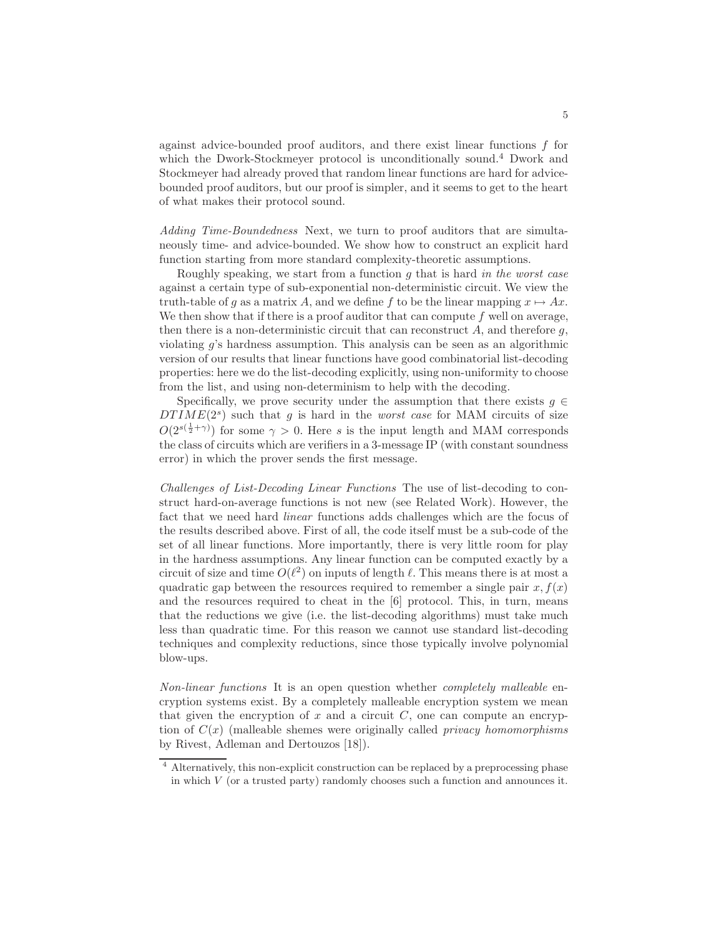against advice-bounded proof auditors, and there exist linear functions f for which the Dwork-Stockmeyer protocol is unconditionally sound.<sup>4</sup> Dwork and Stockmeyer had already proved that random linear functions are hard for advicebounded proof auditors, but our proof is simpler, and it seems to get to the heart of what makes their protocol sound.

Adding Time-Boundedness Next, we turn to proof auditors that are simultaneously time- and advice-bounded. We show how to construct an explicit hard function starting from more standard complexity-theoretic assumptions.

Roughly speaking, we start from a function  $g$  that is hard in the worst case against a certain type of sub-exponential non-deterministic circuit. We view the truth-table of g as a matrix A, and we define f to be the linear mapping  $x \mapsto Ax$ . We then show that if there is a proof auditor that can compute  $f$  well on average, then there is a non-deterministic circuit that can reconstruct  $A$ , and therefore  $g$ , violating g's hardness assumption. This analysis can be seen as an algorithmic version of our results that linear functions have good combinatorial list-decoding properties: here we do the list-decoding explicitly, using non-uniformity to choose from the list, and using non-determinism to help with the decoding.

Specifically, we prove security under the assumption that there exists  $g \in$  $DTIME(2<sup>s</sup>)$  such that g is hard in the worst case for MAM circuits of size  $O(2^{s(\frac{1}{2}+\gamma)})$  for some  $\gamma > 0$ . Here s is the input length and MAM corresponds the class of circuits which are verifiers in a 3-message IP (with constant soundness error) in which the prover sends the first message.

Challenges of List-Decoding Linear Functions The use of list-decoding to construct hard-on-average functions is not new (see Related Work). However, the fact that we need hard linear functions adds challenges which are the focus of the results described above. First of all, the code itself must be a sub-code of the set of all linear functions. More importantly, there is very little room for play in the hardness assumptions. Any linear function can be computed exactly by a circuit of size and time  $O(\ell^2)$  on inputs of length  $\ell$ . This means there is at most a quadratic gap between the resources required to remember a single pair  $x, f(x)$ and the resources required to cheat in the [6] protocol. This, in turn, means that the reductions we give (i.e. the list-decoding algorithms) must take much less than quadratic time. For this reason we cannot use standard list-decoding techniques and complexity reductions, since those typically involve polynomial blow-ups.

Non-linear functions It is an open question whether completely malleable encryption systems exist. By a completely malleable encryption system we mean that given the encryption of  $x$  and a circuit  $C$ , one can compute an encryption of  $C(x)$  (malleable shemes were originally called *privacy homomorphisms* by Rivest, Adleman and Dertouzos [18]).

<sup>&</sup>lt;sup>4</sup> Alternatively, this non-explicit construction can be replaced by a preprocessing phase in which  $V$  (or a trusted party) randomly chooses such a function and announces it.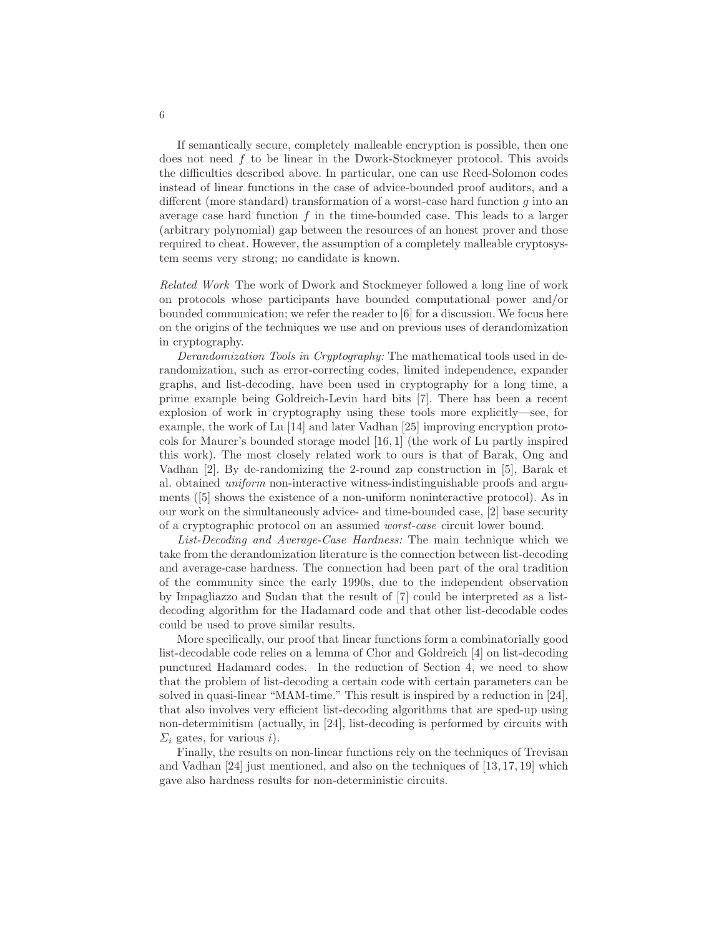If semantically secure, completely malleable encryption is possible, then one does not need f to be linear in the Dwork-Stockmeyer protocol. This avoids the difficulties described above. In particular, one can use Reed-Solomon codes instead of linear functions in the case of advice-bounded proof auditors, and a different (more standard) transformation of a worst-case hard function  $g$  into an average case hard function  $f$  in the time-bounded case. This leads to a larger (arbitrary polynomial) gap between the resources of an honest prover and those required to cheat. However, the assumption of a completely malleable cryptosystem seems very strong; no candidate is known.

Related Work The work of Dwork and Stockmeyer followed a long line of work on protocols whose participants have bounded computational power and/or bounded communication; we refer the reader to [6] for a discussion. We focus here on the origins of the techniques we use and on previous uses of derandomization in cryptography.

Derandomization Tools in Cryptography: The mathematical tools used in derandomization, such as error-correcting codes, limited independence, expander graphs, and list-decoding, have been used in cryptography for a long time, a prime example being Goldreich-Levin hard bits [7]. There has been a recent explosion of work in cryptography using these tools more explicitly—see, for example, the work of Lu [14] and later Vadhan [25] improving encryption protocols for Maurer's bounded storage model [16, 1] (the work of Lu partly inspired this work). The most closely related work to ours is that of Barak, Ong and Vadhan [2]. By de-randomizing the 2-round zap construction in [5], Barak et al. obtained uniform non-interactive witness-indistinguishable proofs and arguments ([5] shows the existence of a non-uniform noninteractive protocol). As in our work on the simultaneously advice- and time-bounded case, [2] base security of a cryptographic protocol on an assumed worst-case circuit lower bound.

List-Decoding and Average-Case Hardness: The main technique which we take from the derandomization literature is the connection between list-decoding and average-case hardness. The connection had been part of the oral tradition of the community since the early 1990s, due to the independent observation by Impagliazzo and Sudan that the result of [7] could be interpreted as a listdecoding algorithm for the Hadamard code and that other list-decodable codes could be used to prove similar results.

More specifically, our proof that linear functions form a combinatorially good list-decodable code relies on a lemma of Chor and Goldreich [4] on list-decoding punctured Hadamard codes. In the reduction of Section 4, we need to show that the problem of list-decoding a certain code with certain parameters can be solved in quasi-linear "MAM-time." This result is inspired by a reduction in [24], that also involves very efficient list-decoding algorithms that are sped-up using non-determinitism (actually, in [24], list-decoding is performed by circuits with  $\Sigma_i$  gates, for various *i*).

Finally, the results on non-linear functions rely on the techniques of Trevisan and Vadhan [24] just mentioned, and also on the techniques of [13, 17, 19] which gave also hardness results for non-deterministic circuits.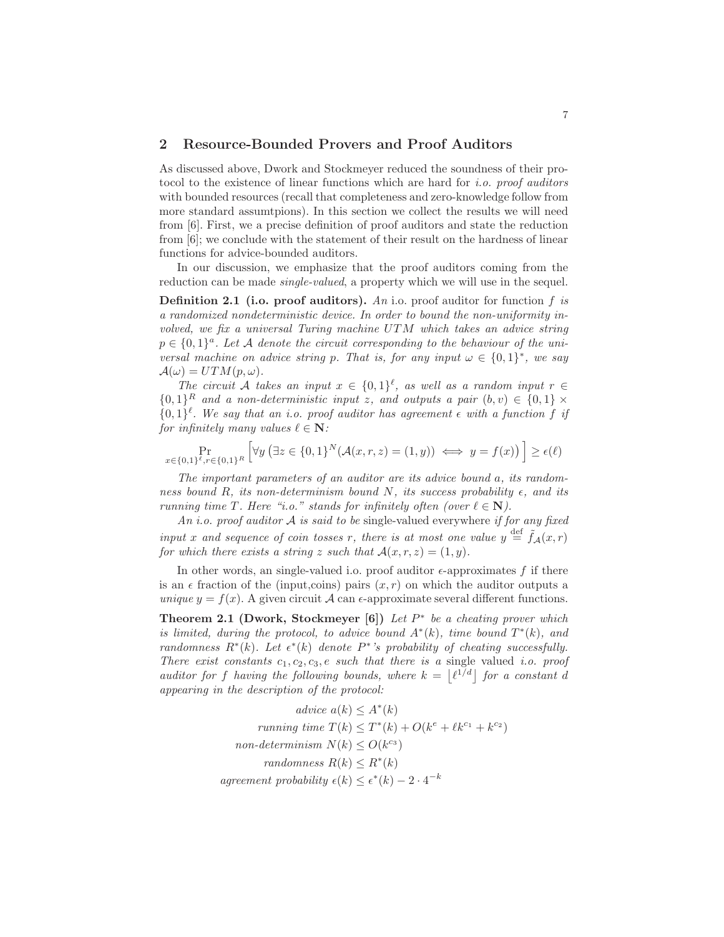# 2 Resource-Bounded Provers and Proof Auditors

As discussed above, Dwork and Stockmeyer reduced the soundness of their protocol to the existence of linear functions which are hard for i.o. proof auditors with bounded resources (recall that completeness and zero-knowledge follow from more standard assumtpions). In this section we collect the results we will need from [6]. First, we a precise definition of proof auditors and state the reduction from [6]; we conclude with the statement of their result on the hardness of linear functions for advice-bounded auditors.

In our discussion, we emphasize that the proof auditors coming from the reduction can be made *single-valued*, a property which we will use in the sequel.

**Definition 2.1 (i.o. proof auditors).** An i.o. proof auditor for function f is a randomized nondeterministic device. In order to bound the non-uniformity involved, we fix a universal Turing machine UTM which takes an advice string  $p \in \{0,1\}^a$ . Let A denote the circuit corresponding to the behaviour of the universal machine on advice string p. That is, for any input  $\omega \in \{0,1\}^*$ , we say  $\mathcal{A}(\omega) = UTM(p, \omega).$ 

The circuit A takes an input  $x \in \{0,1\}^{\ell}$ , as well as a random input  $r \in$  $\{0,1\}^R$  and a non-deterministic input z, and outputs a pair  $(b, v) \in \{0,1\} \times$  ${0,1}^{\ell}$ . We say that an i.o. proof auditor has agreement  $\epsilon$  with a function f if for infinitely many values  $\ell \in \mathbb{N}$ :

$$
\Pr_{x \in \{0,1\}^{\ell}, r \in \{0,1\}^R} \left[ \forall y \left( \exists z \in \{0,1\}^N (\mathcal{A}(x,r,z) = (1,y)) \iff y = f(x) \right) \right] \ge \epsilon(\ell)
$$

The important parameters of an auditor are its advice bound a, its randomness bound R, its non-determinism bound N, its success probability  $\epsilon$ , and its running time T. Here "i.o." stands for infinitely often (over  $\ell \in \mathbb{N}$ ).

An i.o. proof auditor  $A$  is said to be single-valued everywhere if for any fixed input x and sequence of coin tosses r, there is at most one value  $y \stackrel{\text{def}}{=} \tilde{f}_{\mathcal{A}}(x,r)$ for which there exists a string z such that  $\mathcal{A}(x, r, z) = (1, y)$ .

In other words, an single-valued i.o. proof auditor  $\epsilon$ -approximates f if there is an  $\epsilon$  fraction of the (input, coins) pairs  $(x, r)$  on which the auditor outputs a unique  $y = f(x)$ . A given circuit A can  $\epsilon$ -approximate several different functions.

Theorem 2.1 (Dwork, Stockmeyer  $[6]$ ) Let  $P^*$  be a cheating prover which is limited, during the protocol, to advice bound  $A^*(k)$ , time bound  $T^*(k)$ , and randomness  $R^*(k)$ . Let  $\epsilon^*(k)$  denote  $P^*$ 's probability of cheating successfully. There exist constants  $c_1, c_2, c_3, e$  such that there is a single valued i.o. proof auditor for f having the following bounds, where  $k = |\ell^{1/d}|$  for a constant d appearing in the description of the protocol:

$$
advice\ a(k) \le A^*(k)
$$
  
running time  $T(k) \le T^*(k) + O(k^e + \ell k^{c_1} + k^{c_2})$   
non-determinism  $N(k) \le O(k^{c_3})$   
randomness  $R(k) \le R^*(k)$   
agreement probability  $\epsilon(k) \le \epsilon^*(k) - 2 \cdot 4^{-k}$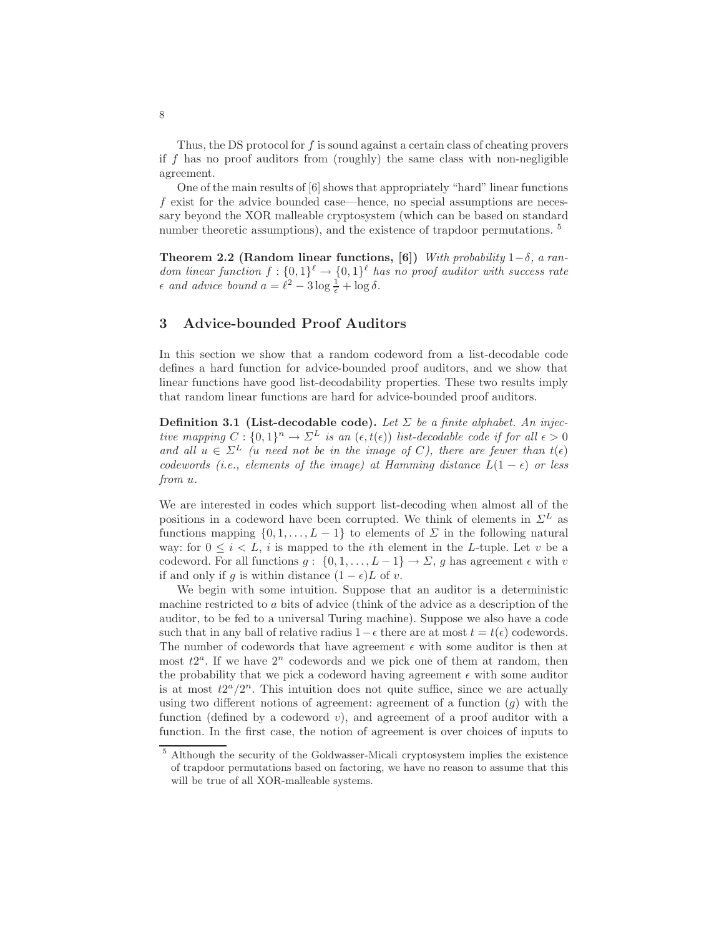Thus, the DS protocol for f is sound against a certain class of cheating provers if  $f$  has no proof auditors from (roughly) the same class with non-negligible agreement.

One of the main results of [6] shows that appropriately "hard" linear functions f exist for the advice bounded case—hence, no special assumptions are necessary beyond the XOR malleable cryptosystem (which can be based on standard number theoretic assumptions), and the existence of trapdoor permutations. <sup>5</sup>

Theorem 2.2 (Random linear functions, [6]) With probability  $1-\delta$ , a random linear function  $f: \{0,1\}^{\ell} \to \{0,1\}^{\ell}$  has no proof auditor with success rate  $\epsilon$  and advice bound  $a = \ell^2 - 3 \log \frac{1}{\epsilon} + \log \delta$ .

# 3 Advice-bounded Proof Auditors

In this section we show that a random codeword from a list-decodable code defines a hard function for advice-bounded proof auditors, and we show that linear functions have good list-decodability properties. These two results imply that random linear functions are hard for advice-bounded proof auditors.

Definition 3.1 (List-decodable code). Let  $\Sigma$  be a finite alphabet. An injective mapping  $C: \{0,1\}^n \to \Sigma^L$  is an  $(\epsilon, t(\epsilon))$  list-decodable code if for all  $\epsilon > 0$ and all  $u \in \Sigma^L$  (u need not be in the image of C), there are fewer than  $t(\epsilon)$ codewords (i.e., elements of the image) at Hamming distance  $L(1 - \epsilon)$  or less from u.

We are interested in codes which support list-decoding when almost all of the positions in a codeword have been corrupted. We think of elements in  $\Sigma^L$  as functions mapping  $\{0, 1, \ldots, L-1\}$  to elements of  $\Sigma$  in the following natural way: for  $0 \leq i \leq L$ , i is mapped to the *i*th element in the *L*-tuple. Let v be a codeword. For all functions  $q: \{0, 1, \ldots, L-1\} \to \Sigma$ , q has agreement  $\epsilon$  with v if and only if g is within distance  $(1 - \epsilon)L$  of v.

We begin with some intuition. Suppose that an auditor is a deterministic machine restricted to a bits of advice (think of the advice as a description of the auditor, to be fed to a universal Turing machine). Suppose we also have a code such that in any ball of relative radius  $1-\epsilon$  there are at most  $t = t(\epsilon)$  codewords. The number of codewords that have agreement  $\epsilon$  with some auditor is then at most  $t2^a$ . If we have  $2^n$  codewords and we pick one of them at random, then the probability that we pick a codeword having agreement  $\epsilon$  with some auditor is at most  $t2^a/2^n$ . This intuition does not quite suffice, since we are actually using two different notions of agreement: agreement of a function  $(g)$  with the function (defined by a codeword  $v$ ), and agreement of a proof auditor with a function. In the first case, the notion of agreement is over choices of inputs to

<sup>5</sup> Although the security of the Goldwasser-Micali cryptosystem implies the existence of trapdoor permutations based on factoring, we have no reason to assume that this will be true of all XOR-malleable systems.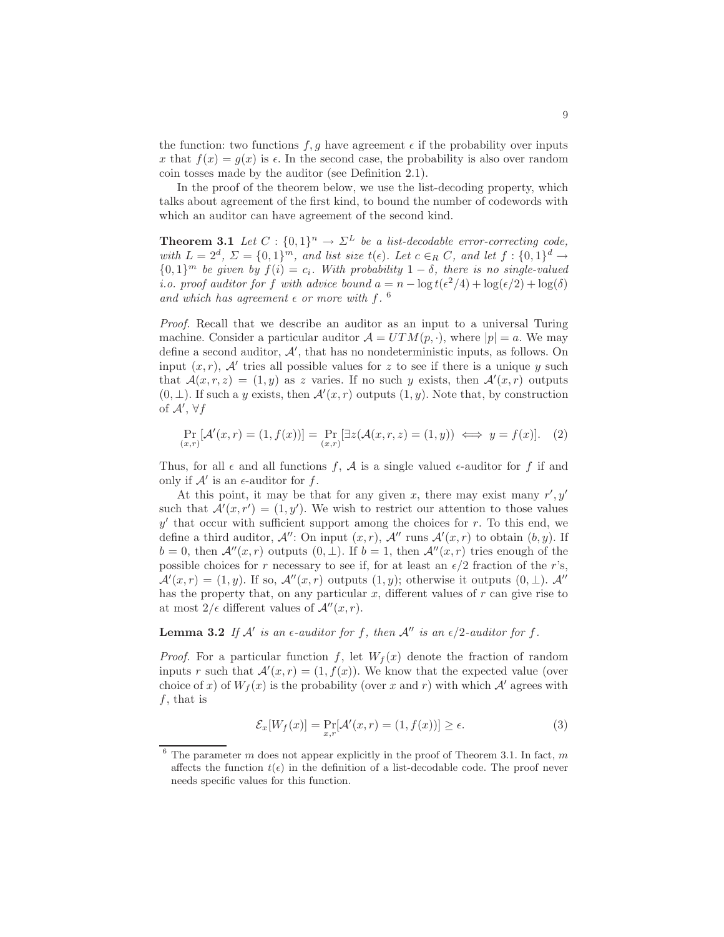the function: two functions  $f, g$  have agreement  $\epsilon$  if the probability over inputs x that  $f(x) = g(x)$  is  $\epsilon$ . In the second case, the probability is also over random coin tosses made by the auditor (see Definition 2.1).

In the proof of the theorem below, we use the list-decoding property, which talks about agreement of the first kind, to bound the number of codewords with which an auditor can have agreement of the second kind.

**Theorem 3.1** Let  $C : \{0,1\}^n \to \Sigma^L$  be a list-decodable error-correcting code, with  $L = 2^d$ ,  $\Sigma = \{0,1\}^m$ , and list size  $t(\epsilon)$ . Let  $c \in_R C$ , and let  $f : \{0,1\}^d \to$  ${0,1}^m$  be given by  $f(i) = c_i$ . With probability  $1 - \delta$ , there is no single-valued *i.o.* proof auditor for f with advice bound  $a = n - \log t(\epsilon^2/4) + \log(\epsilon/2) + \log(\delta)$ and which has agreement  $\epsilon$  or more with f.  $^6$ 

Proof. Recall that we describe an auditor as an input to a universal Turing machine. Consider a particular auditor  $\mathcal{A} = UTM(p, \cdot)$ , where  $|p| = a$ . We may define a second auditor, A′ , that has no nondeterministic inputs, as follows. On input  $(x, r)$ ,  $\mathcal{A}'$  tries all possible values for z to see if there is a unique y such that  $\mathcal{A}(x,r,z) = (1,y)$  as z varies. If no such y exists, then  $\mathcal{A}'(x,r)$  outputs  $(0, \perp)$ . If such a y exists, then  $\mathcal{A}'(x,r)$  outputs  $(1,y)$ . Note that, by construction of  $\mathcal{A}', \forall f$ 

$$
\Pr_{(x,r)}[\mathcal{A}'(x,r) = (1, f(x))] = \Pr_{(x,r)}[\exists z(\mathcal{A}(x,r,z) = (1,y)) \iff y = f(x)]. \tag{2}
$$

Thus, for all  $\epsilon$  and all functions f, A is a single valued  $\epsilon$ -auditor for f if and only if  $\mathcal{A}'$  is an  $\epsilon$ -auditor for f.

At this point, it may be that for any given x, there may exist many  $r', y'$ such that  $\mathcal{A}'(x,r') = (1,y')$ . We wish to restrict our attention to those values  $y'$  that occur with sufficient support among the choices for r. To this end, we define a third auditor,  $\mathcal{A}''$ : On input  $(x, r)$ ,  $\mathcal{A}''$  runs  $\mathcal{A}'(x, r)$  to obtain  $(b, y)$ . If  $b = 0$ , then  $\mathcal{A}''(x, r)$  outputs  $(0, \perp)$ . If  $b = 1$ , then  $\mathcal{A}''(x, r)$  tries enough of the possible choices for r necessary to see if, for at least an  $\epsilon/2$  fraction of the r's,  $\mathcal{A}'(x,r) = (1,y)$ . If so,  $\mathcal{A}''(x,r)$  outputs  $(1,y)$ ; otherwise it outputs  $(0, \perp)$ .  $\mathcal{A}''$ has the property that, on any particular  $x$ , different values of  $r$  can give rise to at most  $2/\epsilon$  different values of  $\mathcal{A}''(x,r)$ .

**Lemma 3.2** If  $\mathcal{A}'$  is an  $\epsilon$ -auditor for f, then  $\mathcal{A}''$  is an  $\epsilon/2$ -auditor for f.

*Proof.* For a particular function f, let  $W_f(x)$  denote the fraction of random inputs r such that  $\mathcal{A}'(x,r) = (1, f(x))$ . We know that the expected value (over choice of x) of  $W_f(x)$  is the probability (over x and r) with which A' agrees with f, that is

$$
\mathcal{E}_x[W_f(x)] = \Pr_{x,r}[\mathcal{A}'(x,r) = (1,f(x))] \ge \epsilon.
$$
 (3)

 $6$  The parameter  $m$  does not appear explicitly in the proof of Theorem 3.1. In fact,  $m$ affects the function  $t(\epsilon)$  in the definition of a list-decodable code. The proof never needs specific values for this function.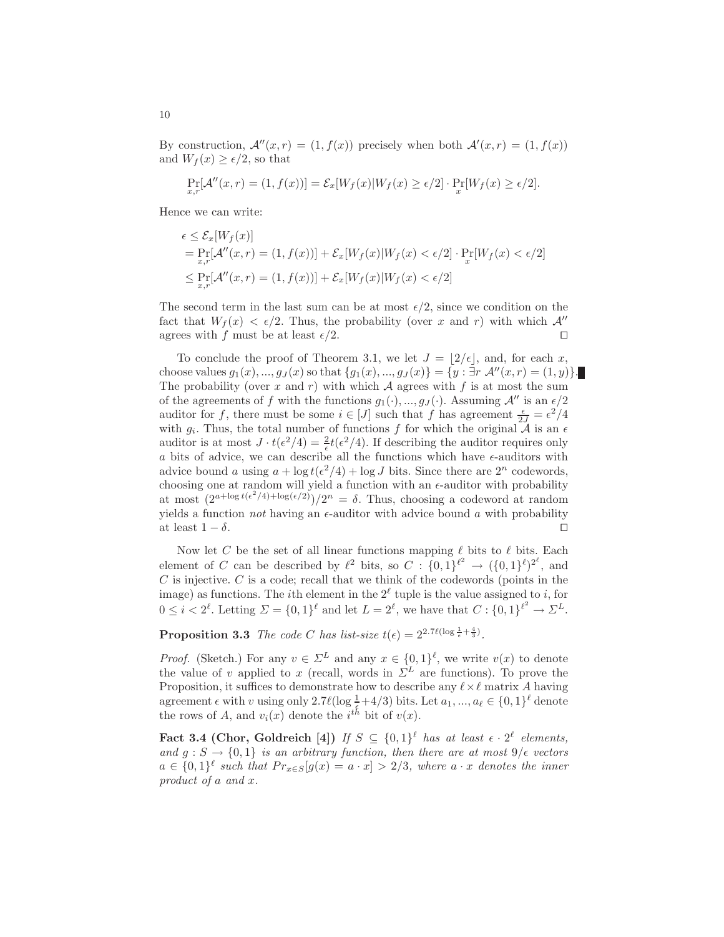By construction,  $\mathcal{A}''(x,r) = (1, f(x))$  precisely when both  $\mathcal{A}'(x,r) = (1, f(x))$ and  $W_f(x) \geq \epsilon/2$ , so that

$$
\Pr_{x,r}[\mathcal{A}''(x,r)=(1,f(x))]=\mathcal{E}_x[W_f(x)|W_f(x)\geq \epsilon/2]\cdot \Pr_x[W_f(x)\geq \epsilon/2].
$$

Hence we can write:

$$
\epsilon \leq \mathcal{E}_x[W_f(x)]
$$
  
=  $\Pr_{x,r}[A''(x,r) = (1, f(x))] + \mathcal{E}_x[W_f(x)|W_f(x) < \epsilon/2] \cdot \Pr_x[W_f(x) < \epsilon/2]$   

$$
\leq \Pr_{x,r}[A''(x,r) = (1, f(x))] + \mathcal{E}_x[W_f(x)|W_f(x) < \epsilon/2]
$$

The second term in the last sum can be at most  $\epsilon/2$ , since we condition on the fact that  $W_f(x) < \epsilon/2$ . Thus, the probability (over x and r) with which  $\mathcal{A}''$ agrees with f must be at least  $\epsilon/2$ . □

To conclude the proof of Theorem 3.1, we let  $J = |2/\epsilon|$ , and, for each x, choose values  $g_1(x),..., g_J(x)$  so that  $\{g_1(x),..., g_J(x)\} = \{y : \exists r \; \mathcal{A}''(x,r) = (1,y)\}$ The probability (over x and r) with which A agrees with f is at most the sum of the agreements of f with the functions  $g_1(\cdot), ..., g_J(\cdot)$ . Assuming  $\mathcal{A}''$  is an  $\epsilon/2$ auditor for f, there must be some  $i \in [J]$  such that f has agreement  $\frac{\epsilon}{2J} = \epsilon^2/4$ with  $g_i$ . Thus, the total number of functions f for which the original A is an  $\epsilon$ auditor is at most  $J \cdot t(\epsilon^2/4) = \frac{2}{\epsilon} t(\epsilon^2/4)$ . If describing the auditor requires only a bits of advice, we can describe all the functions which have  $\epsilon$ -auditors with advice bound a using  $a + \log t(\epsilon^2/4) + \log J$  bits. Since there are  $2^n$  codewords, choosing one at random will yield a function with an  $\epsilon$ -auditor with probability at most  $(2^{a+\log t(\epsilon^2/4)+\log(\epsilon/2)})/2^n = \delta$ . Thus, choosing a codeword at random yields a function *not* having an  $\epsilon$ -auditor with advice bound a with probability at least  $1 - \delta$ . □

Now let C be the set of all linear functions mapping  $\ell$  bits to  $\ell$  bits. Each element of C can be described by  $\ell^2$  bits, so  $C: \{0,1\}^{\ell^2} \to (\{0,1\}^{\ell})^{2^{\ell}}$ , and  $C$  is injective.  $C$  is a code; recall that we think of the codewords (points in the image) as functions. The *i*th element in the  $2^{\ell}$  tuple is the value assigned to *i*, for  $0 \leq i < 2^{\ell}$ . Letting  $\Sigma = \{0,1\}^{\ell}$  and let  $L = 2^{\ell}$ , we have that  $C : \{0,1\}^{\ell^2} \to \Sigma^L$ .

**Proposition 3.3** The code C has list-size  $t(\epsilon) = 2^{2.7\ell(\log\frac{1}{\epsilon} + \frac{4}{3})}$ .

*Proof.* (Sketch.) For any  $v \in \Sigma^L$  and any  $x \in \{0,1\}^{\ell}$ , we write  $v(x)$  to denote the value of v applied to x (recall, words in  $\Sigma^L$  are functions). To prove the Proposition, it suffices to demonstrate how to describe any  $\ell \times \ell$  matrix A having agreement  $\epsilon$  with v using only 2.7 $\ell(\log \frac{1}{\epsilon}+4/3)$  bits. Let  $a_1, ..., a_\ell \in \{0,1\}^\ell$  denote the rows of A, and  $v_i(x)$  denote the  $i^{th}$  bit of  $v(x)$ .

Fact 3.4 (Chor, Goldreich [4]) If  $S \subseteq \{0,1\}^{\ell}$  has at least  $\epsilon \cdot 2^{\ell}$  elements, and  $g : S \to \{0,1\}$  is an arbitrary function, then there are at most  $9/\epsilon$  vectors  $a \in \{0,1\}^{\ell}$  such that  $Pr_{x \in S}[g(x) = a \cdot x] > 2/3$ , where  $a \cdot x$  denotes the inner product of a and x.

10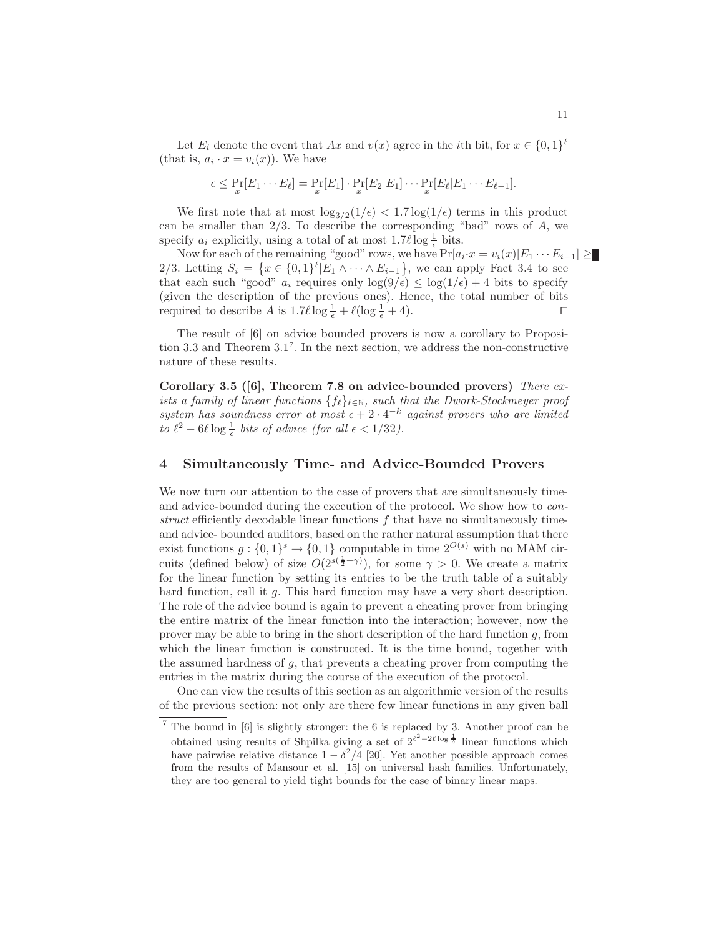Let  $E_i$  denote the event that  $Ax$  and  $v(x)$  agree in the *i*th bit, for  $x \in \{0,1\}^{\ell}$ (that is,  $a_i \cdot x = v_i(x)$ ). We have

$$
\epsilon \leq \Pr_x[E_1 \cdots E_\ell] = \Pr_x[E_1] \cdot \Pr_x[E_2|E_1] \cdots \Pr_x[E_\ell|E_1 \cdots E_{\ell-1}].
$$

We first note that at most  $\log_{3/2}(1/\epsilon) < 1.7 \log(1/\epsilon)$  terms in this product can be smaller than  $2/3$ . To describe the corresponding "bad" rows of  $A$ , we specify  $a_i$  explicitly, using a total of at most  $1.7\ell \log \frac{1}{\epsilon}$  bits.

Now for each of the remaining "good" rows, we have  $Pr[a_i \cdot x = v_i(x)|E_1 \cdots E_{i-1}] \ge$ 2/3. Letting  $S_i = \{x \in \{0,1\}^{\ell} | E_1 \wedge \cdots \wedge E_{i-1}\}\,$ , we can apply Fact 3.4 to see that each such "good"  $a_i$  requires only  $\log(9/\epsilon) \leq \log(1/\epsilon) + 4$  bits to specify (given the description of the previous ones). Hence, the total number of bits required to describe A is  $1.7\ell \log \frac{1}{\epsilon} + \ell (\log \frac{1}{\epsilon} + 4)$ .

The result of [6] on advice bounded provers is now a corollary to Proposition 3.3 and Theorem  $3.1<sup>7</sup>$ . In the next section, we address the non-constructive nature of these results.

Corollary 3.5 ([6], Theorem 7.8 on advice-bounded provers) There exists a family of linear functions  $\{f_\ell\}_{\ell \in \mathbb{N}}$ , such that the Dwork-Stockmeyer proof system has soundness error at most  $\epsilon + 2 \cdot 4^{-k}$  against provers who are limited to  $\ell^2 - 6\ell \log \frac{1}{\epsilon}$  bits of advice (for all  $\epsilon < 1/32$ ).

## 4 Simultaneously Time- and Advice-Bounded Provers

We now turn our attention to the case of provers that are simultaneously timeand advice-bounded during the execution of the protocol. We show how to construct efficiently decodable linear functions  $f$  that have no simultaneously timeand advice- bounded auditors, based on the rather natural assumption that there exist functions  $g: \{0,1\}^s \to \{0,1\}$  computable in time  $2^{O(s)}$  with no MAM circuits (defined below) of size  $O(2^{s(\frac{1}{2}+\gamma)})$ , for some  $\gamma > 0$ . We create a matrix for the linear function by setting its entries to be the truth table of a suitably hard function, call it g. This hard function may have a very short description. The role of the advice bound is again to prevent a cheating prover from bringing the entire matrix of the linear function into the interaction; however, now the prover may be able to bring in the short description of the hard function g, from which the linear function is constructed. It is the time bound, together with the assumed hardness of  $g$ , that prevents a cheating prover from computing the entries in the matrix during the course of the execution of the protocol.

One can view the results of this section as an algorithmic version of the results of the previous section: not only are there few linear functions in any given ball

<sup>7</sup> The bound in [6] is slightly stronger: the 6 is replaced by 3. Another proof can be obtained using results of Shpilka giving a set of  $2^{\ell^2-2\ell \log \frac{1}{\delta}}$  linear functions which have pairwise relative distance  $1 - \delta^2/4$  [20]. Yet another possible approach comes from the results of Mansour et al. [15] on universal hash families. Unfortunately, they are too general to yield tight bounds for the case of binary linear maps.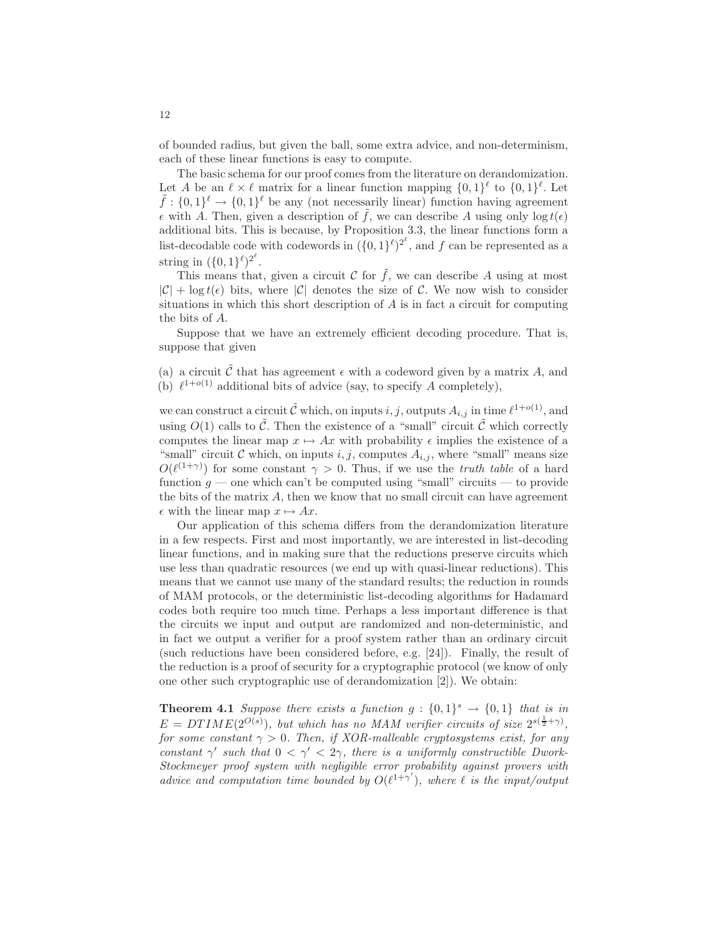of bounded radius, but given the ball, some extra advice, and non-determinism, each of these linear functions is easy to compute.

The basic schema for our proof comes from the literature on derandomization. Let A be an  $\ell \times \ell$  matrix for a linear function mapping  $\{0,1\}^{\ell}$  to  $\{0,1\}^{\ell}$ . Let  $\tilde{f}: \{0,1\}^{\ell} \to \{0,1\}^{\ell}$  be any (not necessarily linear) function having agreement  $\epsilon$  with A. Then, given a description of  $\tilde{f}$ , we can describe A using only  $\log t(\epsilon)$ additional bits. This is because, by Proposition 3.3, the linear functions form a list-decodable code with codewords in  $({0,1})^{\ell}2^{\ell}$ , and f can be represented as a string in  $({0,1})^{\ell})^{2^{\ell}}$ .

This means that, given a circuit C for  $\tilde{f}$ , we can describe A using at most  $|\mathcal{C}| + \log t(\epsilon)$  bits, where  $|\mathcal{C}|$  denotes the size of C. We now wish to consider situations in which this short description of A is in fact a circuit for computing the bits of A.

Suppose that we have an extremely efficient decoding procedure. That is, suppose that given

(a) a circuit  $\tilde{\mathcal{C}}$  that has agreement  $\epsilon$  with a codeword given by a matrix A, and (b)  $\ell^{1+o(1)}$  additional bits of advice (say, to specify A completely),

we can construct a circuit  $\tilde{C}$  which, on inputs i, j, outputs  $A_{i,j}$  in time  $\ell^{1+o(1)}$ , and using  $O(1)$  calls to  $\tilde{\mathcal{C}}$ . Then the existence of a "small" circuit  $\tilde{\mathcal{C}}$  which correctly computes the linear map  $x \mapsto Ax$  with probability  $\epsilon$  implies the existence of a "small" circuit C which, on inputs i, j, computes  $A_{i,j}$ , where "small" means size  $O(\ell^{(1+\gamma)})$  for some constant  $\gamma > 0$ . Thus, if we use the *truth table* of a hard function  $g$  — one which can't be computed using "small" circuits — to provide the bits of the matrix  $A$ , then we know that no small circuit can have agreement  $\epsilon$  with the linear map  $x \mapsto Ax$ .

Our application of this schema differs from the derandomization literature in a few respects. First and most importantly, we are interested in list-decoding linear functions, and in making sure that the reductions preserve circuits which use less than quadratic resources (we end up with quasi-linear reductions). This means that we cannot use many of the standard results; the reduction in rounds of MAM protocols, or the deterministic list-decoding algorithms for Hadamard codes both require too much time. Perhaps a less important difference is that the circuits we input and output are randomized and non-deterministic, and in fact we output a verifier for a proof system rather than an ordinary circuit (such reductions have been considered before, e.g. [24]). Finally, the result of the reduction is a proof of security for a cryptographic protocol (we know of only one other such cryptographic use of derandomization [2]). We obtain:

**Theorem 4.1** Suppose there exists a function  $g: \{0,1\}^s \rightarrow \{0,1\}$  that is in  $E = DTIME(2^{O(s)})$ , but which has no MAM verifier circuits of size  $2^{s(\frac{1}{2}+\gamma)}$ , for some constant  $\gamma > 0$ . Then, if XOR-malleable cryptosystems exist, for any constant  $\gamma'$  such that  $0 < \gamma' < 2\gamma$ , there is a uniformly constructible Dwork-Stockmeyer proof system with negligible error probability against provers with advice and computation time bounded by  $O(\ell^{1+\gamma'}),$  where  $\ell$  is the input/output

12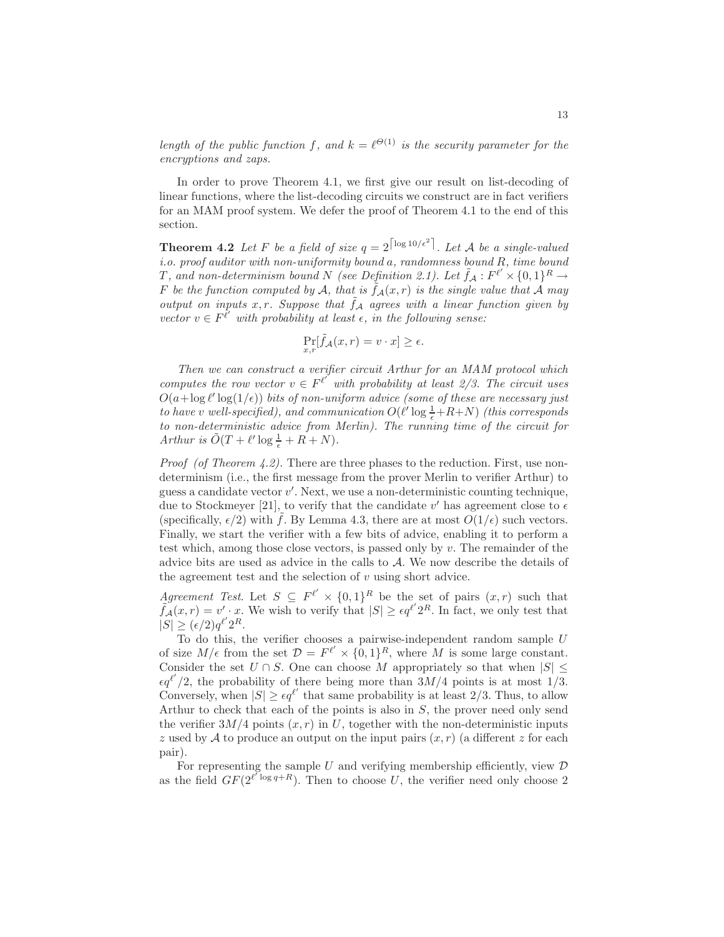length of the public function f, and  $k = \ell^{\Theta(1)}$  is the security parameter for the encryptions and zaps.

In order to prove Theorem 4.1, we first give our result on list-decoding of linear functions, where the list-decoding circuits we construct are in fact verifiers for an MAM proof system. We defer the proof of Theorem 4.1 to the end of this section.

**Theorem 4.2** Let F be a field of size  $q = 2^{\lceil \log 10/\epsilon^2 \rceil}$ . Let A be a single-valued i.o. proof auditor with non-uniformity bound a, randomness bound  $R$ , time bound T, and non-determinism bound N (see Definition 2.1). Let  $\tilde{f}_A : F^{\ell'} \times \{0,1\}^R \to$ F be the function computed by A, that is  $\tilde{f}_A(x,r)$  is the single value that A may output on inputs x, r. Suppose that  $\tilde{f}_A$  agrees with a linear function given by vector  $v \in F^{\ell'}$  with probability at least  $\epsilon$ , in the following sense:

$$
\Pr_{x,r}[\tilde{f}_{\mathcal{A}}(x,r) = v \cdot x] \ge \epsilon.
$$

Then we can construct a verifier circuit Arthur for an MAM protocol which computes the row vector  $v \in F^{\ell'}$  with probability at least 2/3. The circuit uses  $O(a + \log \ell' \log(1/\epsilon))$  bits of non-uniform advice (some of these are necessary just to have v well-specified), and communication  $O(\ell' \log \frac{1}{\epsilon} + R + N)$  (this corresponds to non-deterministic advice from Merlin). The running time of the circuit for Arthur is  $\tilde{O}(T + \ell' \log \frac{1}{\epsilon} + R + N)$ .

Proof (of Theorem 4.2). There are three phases to the reduction. First, use nondeterminism (i.e., the first message from the prover Merlin to verifier Arthur) to guess a candidate vector v ′ . Next, we use a non-deterministic counting technique, due to Stockmeyer [21], to verify that the candidate  $v'$  has agreement close to  $\epsilon$ (specifically,  $\epsilon/2$ ) with  $\tilde{f}$ . By Lemma 4.3, there are at most  $O(1/\epsilon)$  such vectors. Finally, we start the verifier with a few bits of advice, enabling it to perform a test which, among those close vectors, is passed only by v. The remainder of the advice bits are used as advice in the calls to A. We now describe the details of the agreement test and the selection of  $v$  using short advice.

Agreement Test. Let  $S \subseteq F^{\ell'} \times \{0,1\}^R$  be the set of pairs  $(x,r)$  such that  $\tilde{f}_{\mathcal{A}}(x,r) = v' \cdot x$ . We wish to verify that  $|S| \geq \epsilon q^{\ell'} 2^R$ . In fact, we only test that  $|S| \ge (\epsilon/2)q^{\ell'}2^R.$ 

To do this, the verifier chooses a pairwise-independent random sample U of size  $M/\epsilon$  from the set  $\mathcal{D} = F^{\ell'} \times \{0,1\}^R$ , where M is some large constant. Consider the set  $U \cap S$ . One can choose M appropriately so that when  $|S| \leq$  $\epsilon q^{\ell'}/2$ , the probability of there being more than  $3M/4$  points is at most  $1/3$ . Conversely, when  $|S| \ge \epsilon q^{\ell'}$  that same probability is at least 2/3. Thus, to allow Arthur to check that each of the points is also in  $S$ , the prover need only send the verifier  $3M/4$  points  $(x, r)$  in U, together with the non-deterministic inputs z used by A to produce an output on the input pairs  $(x, r)$  (a different z for each pair).

For representing the sample  $U$  and verifying membership efficiently, view  $D$ as the field  $GF(2^{\ell' \log q + R})$ . Then to choose U, the verifier need only choose 2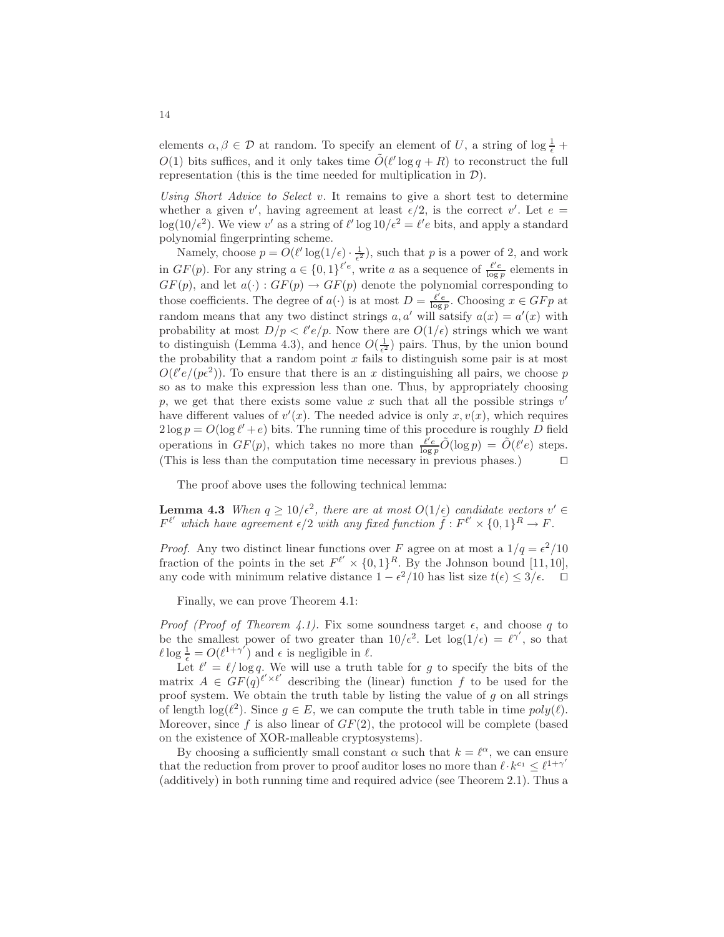elements  $\alpha, \beta \in \mathcal{D}$  at random. To specify an element of U, a string of  $\log \frac{1}{\epsilon}$  +  $O(1)$  bits suffices, and it only takes time  $\tilde{O}(\ell' \log q + R)$  to reconstruct the full representation (this is the time needed for multiplication in  $\mathcal{D}$ ).

Using Short Advice to Select  $v$ . It remains to give a short test to determine whether a given v', having agreement at least  $\epsilon/2$ , is the correct v'. Let  $e =$  $\log(10/\epsilon^2)$ . We view v' as a string of  $\ell' \log 10/\epsilon^2 = \ell' e$  bits, and apply a standard polynomial fingerprinting scheme.

Namely, choose  $p = O(\ell' \log(1/\epsilon) \cdot \frac{1}{\epsilon^2})$ , such that p is a power of 2, and work in  $GF(p)$ . For any string  $a \in \{0,1\}^{\ell'e}$ , write a as a sequence of  $\frac{\ell'e}{\log p}$  elements in  $GF(p)$ , and let  $a(\cdot): GF(p) \to GF(p)$  denote the polynomial corresponding to those coefficients. The degree of  $a(\cdot)$  is at most  $D = \frac{\ell' e}{\log p}$ . Choosing  $x \in GFP$  at random means that any two distinct strings  $a, a'$  will satsify  $a(x) = a'(x)$  with probability at most  $D/p < \ell^{\prime} e/p$ . Now there are  $O(1/\epsilon)$  strings which we want to distinguish (Lemma 4.3), and hence  $O(\frac{1}{\epsilon^2})$  pairs. Thus, by the union bound the probability that a random point  $x$  fails to distinguish some pair is at most  $O(\ell^{\prime}e/(\rho\epsilon^2))$ . To ensure that there is an x distinguishing all pairs, we choose p so as to make this expression less than one. Thus, by appropriately choosing p, we get that there exists some value x such that all the possible strings  $v'$ have different values of  $v'(x)$ . The needed advice is only  $x, v(x)$ , which requires  $2 \log p = O(\log \ell' + e)$  bits. The running time of this procedure is roughly D field operations in  $GF(p)$ , which takes no more than  $\frac{\ell^{\prime}e}{\log p}\tilde{O}(\log p) = \tilde{O}(\ell^{\prime}e)$  steps. (This is less than the computation time necessary in previous phases.) ⊓⊔

The proof above uses the following technical lemma:

**Lemma 4.3** When  $q \ge 10/\epsilon^2$ , there are at most  $O(1/\epsilon)$  candidate vectors  $v' \in$  $F^{\ell'}$  which have agreement  $\epsilon/2$  with any fixed function  $\tilde{f}: F^{\ell'} \times \{0,1\}^R \to F$ .

*Proof.* Any two distinct linear functions over F agree on at most a  $1/q = \epsilon^2/10$ fraction of the points in the set  $F^{\ell'} \times \{0,1\}^R$ . By the Johnson bound [11, 10], any code with minimum relative distance  $1 - \epsilon^2/10$  has list size  $t(\epsilon) \leq 3/\epsilon$ . □

Finally, we can prove Theorem 4.1:

*Proof (Proof of Theorem 4.1).* Fix some soundness target  $\epsilon$ , and choose q to be the smallest power of two greater than  $10/\epsilon^2$ . Let  $\log(1/\epsilon) = \ell^{\gamma'}$ , so that  $\ell \log \frac{1}{\epsilon} = O(\ell^{1+\gamma'})$  and  $\epsilon$  is negligible in  $\ell$ .

Let  $\ell' = \ell/\log q$ . We will use a truth table for g to specify the bits of the matrix  $A \in GF(q)^{\ell' \times \ell'}$  describing the (linear) function f to be used for the proof system. We obtain the truth table by listing the value of  $g$  on all strings of length  $\log(\ell^2)$ . Since  $g \in E$ , we can compute the truth table in time  $poly(\ell)$ . Moreover, since f is also linear of  $GF(2)$ , the protocol will be complete (based on the existence of XOR-malleable cryptosystems).

By choosing a sufficiently small constant  $\alpha$  such that  $k = \ell^{\alpha}$ , we can ensure that the reduction from prover to proof auditor loses no more than  $\ell \cdot k^{c_1} \leq \ell^{1+\gamma'}$ (additively) in both running time and required advice (see Theorem 2.1). Thus a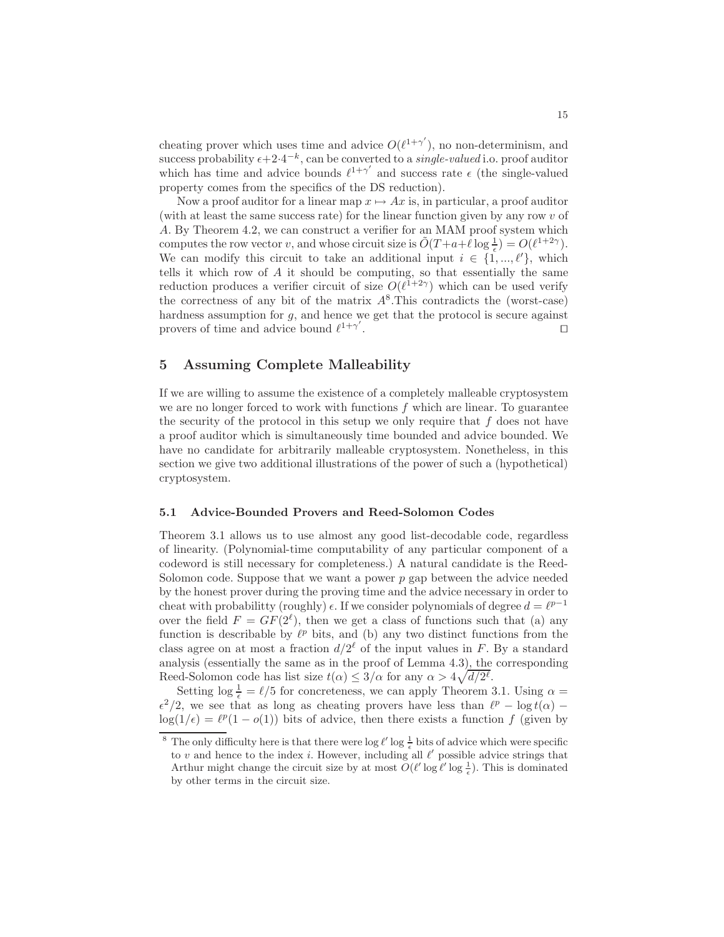cheating prover which uses time and advice  $O(\ell^{1+\gamma'})$ , no non-determinism, and success probability  $\epsilon+2\cdot 4^{-k}$ , can be converted to a *single-valued* i.o. proof auditor which has time and advice bounds  $\ell^{1+\gamma'}$  and success rate  $\epsilon$  (the single-valued property comes from the specifics of the DS reduction).

Now a proof auditor for a linear map  $x \mapsto Ax$  is, in particular, a proof auditor (with at least the same success rate) for the linear function given by any row  $v$  of A. By Theorem 4.2, we can construct a verifier for an MAM proof system which computes the row vector v, and whose circuit size is  $\tilde{O}(T+a+\ell \log \frac{1}{\epsilon})=O(\ell^{1+2\gamma}).$ We can modify this circuit to take an additional input  $i \in \{1, ..., \ell'\}$ , which tells it which row of  $A$  it should be computing, so that essentially the same reduction produces a verifier circuit of size  $O(\ell^{1+2\gamma})$  which can be used verify the correctness of any bit of the matrix  $A^8$ . This contradicts the (worst-case) hardness assumption for  $q$ , and hence we get that the protocol is secure against provers of time and advice bound  $\ell^{1+\gamma'}$ . ⊓⊔

# 5 Assuming Complete Malleability

If we are willing to assume the existence of a completely malleable cryptosystem we are no longer forced to work with functions  $f$  which are linear. To guarantee the security of the protocol in this setup we only require that  $f$  does not have a proof auditor which is simultaneously time bounded and advice bounded. We have no candidate for arbitrarily malleable cryptosystem. Nonetheless, in this section we give two additional illustrations of the power of such a (hypothetical) cryptosystem.

#### 5.1 Advice-Bounded Provers and Reed-Solomon Codes

Theorem 3.1 allows us to use almost any good list-decodable code, regardless of linearity. (Polynomial-time computability of any particular component of a codeword is still necessary for completeness.) A natural candidate is the Reed-Solomon code. Suppose that we want a power  $p$  gap between the advice needed by the honest prover during the proving time and the advice necessary in order to cheat with probabilitty (roughly)  $\epsilon$ . If we consider polynomials of degree  $d = \ell^{p-1}$ over the field  $F = GF(2^{\ell})$ , then we get a class of functions such that (a) any function is describable by  $\ell^p$  bits, and (b) any two distinct functions from the class agree on at most a fraction  $d/2^{\ell}$  of the input values in F. By a standard analysis (essentially the same as in the proof of Lemma 4.3), the corresponding Reed-Solomon code has list size  $t(\alpha) \leq 3/\alpha$  for any  $\alpha > 4\sqrt{d/2^{\ell}}$ .

Setting  $\log \frac{1}{\epsilon} = \ell/5$  for concreteness, we can apply Theorem 3.1. Using  $\alpha =$  $\epsilon^2/2$ , we see that as long as cheating provers have less than  $\ell^p - \log t(\alpha)$  $log(1/\epsilon) = \ell^p(1 - o(1))$  bits of advice, then there exists a function f (given by

<sup>&</sup>lt;sup>8</sup> The only difficulty here is that there were  $\log \ell' \log \frac{1}{\epsilon}$  bits of advice which were specific to v and hence to the index i. However, including all  $\ell'$  possible advice strings that Arthur might change the circuit size by at most  $O(\ell' \log \ell' \log \frac{1}{\epsilon})$ . This is dominated by other terms in the circuit size.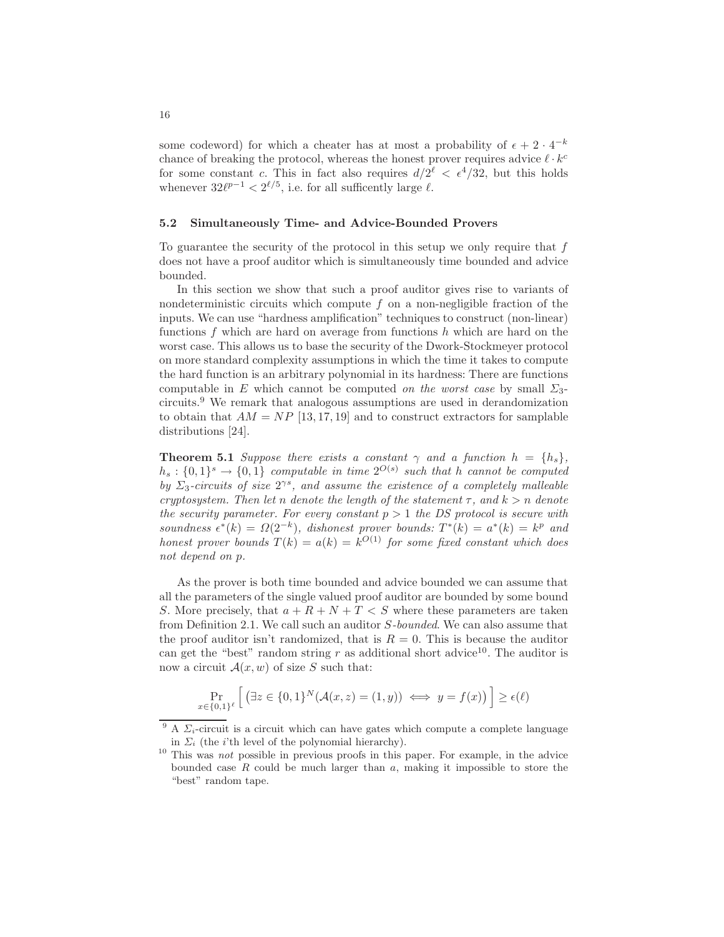some codeword) for which a cheater has at most a probability of  $\epsilon + 2 \cdot 4^{-k}$ chance of breaking the protocol, whereas the honest prover requires advice  $\ell \cdot k^c$ for some constant c. This in fact also requires  $d/2^{\ell} < \epsilon^4/32$ , but this holds whenever  $32\ell^{p-1} < 2^{\ell/5}$ , i.e. for all sufficently large  $\ell$ .

#### 5.2 Simultaneously Time- and Advice-Bounded Provers

To guarantee the security of the protocol in this setup we only require that  $f$ does not have a proof auditor which is simultaneously time bounded and advice bounded.

In this section we show that such a proof auditor gives rise to variants of nondeterministic circuits which compute  $f$  on a non-negligible fraction of the inputs. We can use "hardness amplification" techniques to construct (non-linear) functions  $f$  which are hard on average from functions  $h$  which are hard on the worst case. This allows us to base the security of the Dwork-Stockmeyer protocol on more standard complexity assumptions in which the time it takes to compute the hard function is an arbitrary polynomial in its hardness: There are functions computable in E which cannot be computed on the worst case by small  $\Sigma_3$ circuits.<sup>9</sup> We remark that analogous assumptions are used in derandomization to obtain that  $AM = NP$  [13, 17, 19] and to construct extractors for samplable distributions [24].

**Theorem 5.1** Suppose there exists a constant  $\gamma$  and a function  $h = \{h_s\},\$  $h_s: \{0,1\}^s \to \{0,1\}$  computable in time  $2^{O(s)}$  such that h cannot be computed by  $\Sigma_3$ -circuits of size  $2^{\gamma s}$ , and assume the existence of a completely malleable cryptosystem. Then let n denote the length of the statement  $\tau$ , and  $k > n$  denote the security parameter. For every constant  $p > 1$  the DS protocol is secure with soundness  $\epsilon^*(k) = \Omega(2^{-k})$ , dishonest prover bounds:  $T^*(k) = a^*(k) = k^p$  and honest prover bounds  $T(k) = a(k) = k^{O(1)}$  for some fixed constant which does not depend on p.

As the prover is both time bounded and advice bounded we can assume that all the parameters of the single valued proof auditor are bounded by some bound S. More precisely, that  $a + R + N + T < S$  where these parameters are taken from Definition 2.1. We call such an auditor S-bounded. We can also assume that the proof auditor isn't randomized, that is  $R = 0$ . This is because the auditor can get the "best" random string r as additional short advice<sup>10</sup>. The auditor is now a circuit  $\mathcal{A}(x, w)$  of size S such that:

$$
\Pr_{x \in \{0,1\}^\ell} \left[ \left( \exists z \in \{0,1\}^N (\mathcal{A}(x,z) = (1,y)) \iff y = f(x) \right) \right] \ge \epsilon(\ell)
$$

<sup>&</sup>lt;sup>9</sup> A  $\Sigma_i$ -circuit is a circuit which can have gates which compute a complete language in  $\Sigma_i$  (the *i*'th level of the polynomial hierarchy).

 $10$  This was not possible in previous proofs in this paper. For example, in the advice bounded case  $R$  could be much larger than  $a$ , making it impossible to store the "best" random tape.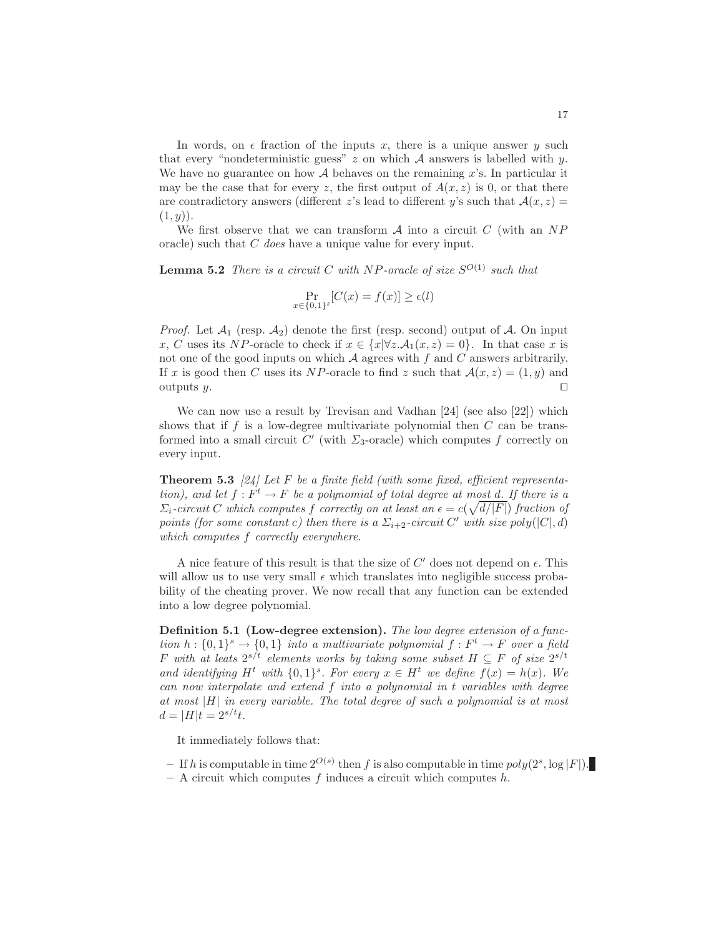In words, on  $\epsilon$  fraction of the inputs x, there is a unique answer y such that every "nondeterministic guess"  $z$  on which  $A$  answers is labelled with  $y$ . We have no guarantee on how  $A$  behaves on the remaining  $x$ 's. In particular it may be the case that for every z, the first output of  $A(x, z)$  is 0, or that there are contradictory answers (different z's lead to different y's such that  $\mathcal{A}(x, z) =$  $(1, y)$ .

We first observe that we can transform  $A$  into a circuit  $C$  (with an  $NP$ oracle) such that C does have a unique value for every input.

**Lemma 5.2** There is a circuit C with NP-oracle of size  $S^{O(1)}$  such that

$$
\Pr_{x \in \{0,1\}^{\ell}}[C(x) = f(x)] \ge \epsilon(l)
$$

*Proof.* Let  $\mathcal{A}_1$  (resp.  $\mathcal{A}_2$ ) denote the first (resp. second) output of  $\mathcal{A}$ . On input x, C uses its NP-oracle to check if  $x \in \{x | \forall z \ldotp \mathcal{A}_1(x, z) = 0\}$ . In that case x is not one of the good inputs on which  $A$  agrees with  $f$  and  $C$  answers arbitrarily. If x is good then C uses its NP-oracle to find z such that  $\mathcal{A}(x, z) = (1, y)$  and outputs y.  $□$ 

We can now use a result by Trevisan and Vadhan [24] (see also [22]) which shows that if  $f$  is a low-degree multivariate polynomial then  $C$  can be transformed into a small circuit  $C'$  (with  $\Sigma_3$ -oracle) which computes f correctly on every input.

**Theorem 5.3** [24] Let F be a finite field (with some fixed, efficient representation), and let  $f: F^t \to F$  be a polynomial of total degree at most d. If there is a  $\Sigma_i$ -circuit C which computes f correctly on at least an  $\epsilon = c(\sqrt{d/|F|})$  fraction of points (for some constant c) then there is a  $\Sigma_{i+2}$ -circuit C' with size poly( $|C|, d$ ) which computes f correctly everywhere.

A nice feature of this result is that the size of  $C'$  does not depend on  $\epsilon$ . This will allow us to use very small  $\epsilon$  which translates into negligible success probability of the cheating prover. We now recall that any function can be extended into a low degree polynomial.

Definition 5.1 (Low-degree extension). The low degree extension of a function  $h: \{0,1\}^s \to \{0,1\}$  into a multivariate polynomial  $f: F^t \to F$  over a field F with at leats  $2^{s/t}$  elements works by taking some subset  $H \subseteq F$  of size  $2^{s/t}$ and identifying  $H^t$  with  $\{0,1\}^s$ . For every  $x \in H^t$  we define  $f(x) = h(x)$ . We can now interpolate and extend f into a polynomial in t variables with degree at most  $|H|$  in every variable. The total degree of such a polynomial is at most  $d = |H|t = 2^{s/t}t.$ 

It immediately follows that:

- If h is computable in time  $2^{O(s)}$  then f is also computable in time  $poly(2^s, \log |F|)$ .
- $-$  A circuit which computes f induces a circuit which computes h.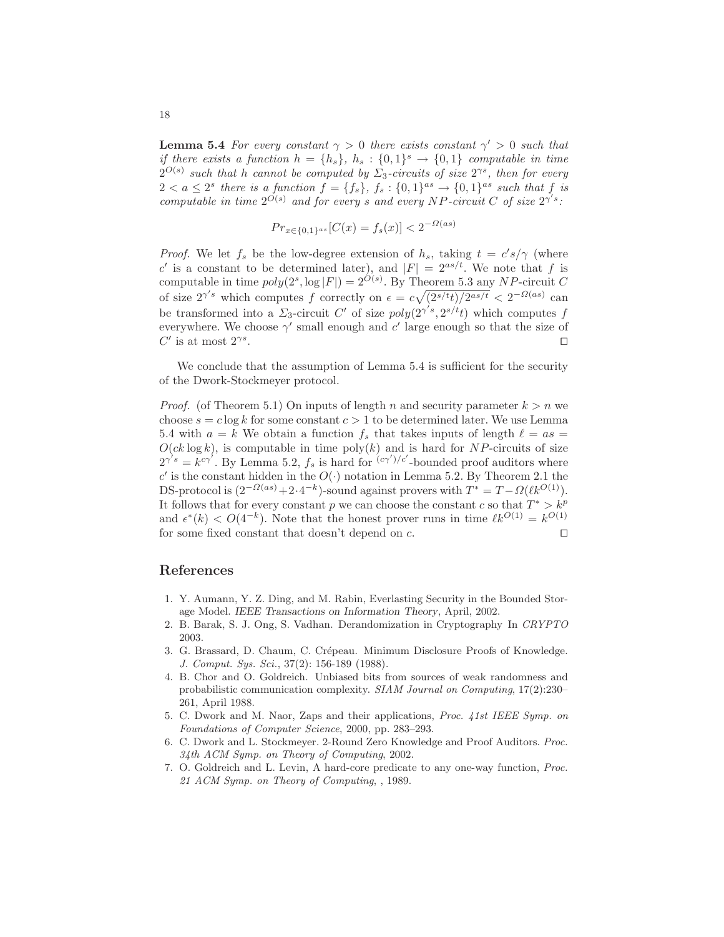**Lemma 5.4** For every constant  $\gamma > 0$  there exists constant  $\gamma' > 0$  such that if there exists a function  $h = \{h_s\}, h_s : \{0,1\}^s \to \{0,1\}$  computable in time  $2^{O(s)}$  such that h cannot be computed by  $\Sigma_3$ -circuits of size  $2^{\gamma s}$ , then for every  $2 < a \leq 2^s$  there is a function  $f = \{f_s\},\ f_s : \{0,1\}^{as} \to \{0,1\}^{as}$  such that f is computable in time  $2^{\tilde{O}(s)}$  and for every s and every NP-circuit C of size  $2^{\gamma's}$ :

$$
Pr_{x \in \{0,1\}^{as}}[C(x) = f_s(x)] < 2^{-\Omega(as)}
$$

*Proof.* We let  $f_s$  be the low-degree extension of  $h_s$ , taking  $t = c's/\gamma$  (where c' is a constant to be determined later), and  $|F| = 2^{as/t}$ . We note that f is computable in time  $poly(2<sup>s</sup>, log |F|) = 2<sup>O(s)</sup>$ . By Theorem 5.3 any NP-circuit C of size  $2^{\gamma' s}$  which computes f correctly on  $\epsilon = c \sqrt{(2^{s/t}t)/2^{as/t}} < 2^{-\Omega(as)}$  can be transformed into a  $\Sigma_3$ -circuit C' of size  $poly(2^{\gamma' s}, 2^{s/t}t)$  which computes f everywhere. We choose  $\gamma'$  small enough and  $c'$  large enough so that the size of  $C'$  is at most  $2^{\gamma s}$ . ⊓⊔

We conclude that the assumption of Lemma 5.4 is sufficient for the security of the Dwork-Stockmeyer protocol.

*Proof.* (of Theorem 5.1) On inputs of length n and security parameter  $k > n$  we choose  $s = c \log k$  for some constant  $c > 1$  to be determined later. We use Lemma 5.4 with  $a = k$  We obtain a function  $f_s$  that takes inputs of length  $\ell = as$  $O(ck \log k)$ , is computable in time  $\text{poly}(k)$  and is hard for NP-circuits of size  $2^{\gamma' s} = k^{c\gamma'}$ . By Lemma 5.2,  $f_s$  is hard for  $\frac{(c\gamma')/c'}{c}$ -bounded proof auditors where c' is the constant hidden in the  $O(\cdot)$  notation in Lemma 5.2. By Theorem 2.1 the DS-protocol is  $(2^{-\Omega(as)}+2\cdot 4^{-k})$ -sound against provers with  $T^* = T - \Omega(\ell k^{\mathcal{O}(1)})$ . It follows that for every constant p we can choose the constant c so that  $T^* > k^p$ and  $\epsilon^*(k) < O(4^{-k})$ . Note that the honest prover runs in time  $\ell k^{O(1)} = k^{O(1)}$ for some fixed constant that doesn't depend on  $c$ . □

## References

- 1. Y. Aumann, Y. Z. Ding, and M. Rabin, Everlasting Security in the Bounded Storage Model. IEEE Transactions on Information Theory, April, 2002.
- 2. B. Barak, S. J. Ong, S. Vadhan. Derandomization in Cryptography In CRYPTO 2003.
- 3. G. Brassard, D. Chaum, C. Crépeau. Minimum Disclosure Proofs of Knowledge. J. Comput. Sys. Sci., 37(2): 156-189 (1988).
- 4. B. Chor and O. Goldreich. Unbiased bits from sources of weak randomness and probabilistic communication complexity. SIAM Journal on Computing, 17(2):230– 261, April 1988.
- 5. C. Dwork and M. Naor, Zaps and their applications, Proc. 41st IEEE Symp. on Foundations of Computer Science, 2000, pp. 283–293.
- 6. C. Dwork and L. Stockmeyer. 2-Round Zero Knowledge and Proof Auditors. Proc. 34th ACM Symp. on Theory of Computing, 2002.
- 7. O. Goldreich and L. Levin, A hard-core predicate to any one-way function, Proc. 21 ACM Symp. on Theory of Computing, , 1989.